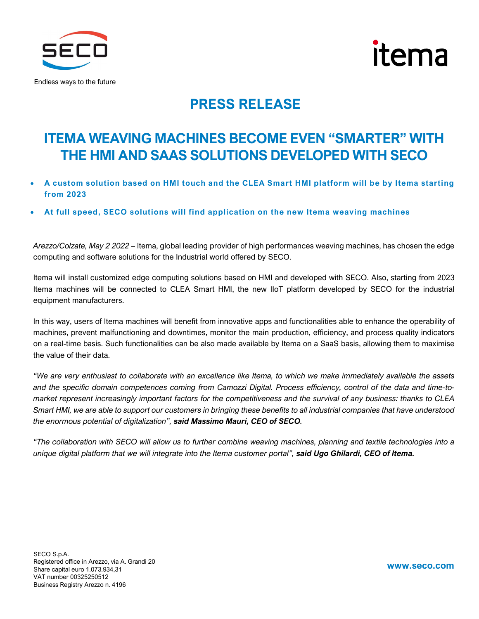



## **PRESS RELEASE**

# **ITEMA WEAVING MACHINES BECOME EVEN "SMARTER" WITH THE HMI AND SAAS SOLUTIONS DEVELOPED WITH SECO**

- **A custom solution based on HMI touch and the CLEA Smart HMI platform will be by Itema starting from 2023**
- **At full speed, SECO solutions will find application on the new Itema weaving machines**

*Arezzo/Colzate, May 2 2022* – Itema, global leading provider of high performances weaving machines, has chosen the edge computing and software solutions for the Industrial world offered by SECO.

Itema will install customized edge computing solutions based on HMI and developed with SECO. Also, starting from 2023 Itema machines will be connected to CLEA Smart HMI, the new IIoT platform developed by SECO for the industrial equipment manufacturers.

In this way, users of Itema machines will benefit from innovative apps and functionalities able to enhance the operability of machines, prevent malfunctioning and downtimes, monitor the main production, efficiency, and process quality indicators on a real-time basis. Such functionalities can be also made available by Itema on a SaaS basis, allowing them to maximise the value of their data.

*"We are very enthusiast to collaborate with an excellence like Itema, to which we make immediately available the assets and the specific domain competences coming from Camozzi Digital. Process efficiency, control of the data and time-tomarket represent increasingly important factors for the competitiveness and the survival of any business: thanks to CLEA Smart HMI, we are able to support our customers in bringing these benefits to all industrial companies that have understood the enormous potential of digitalization", said Massimo Mauri, CEO of SECO.*

*"The collaboration with SECO will allow us to further combine weaving machines, planning and textile technologies into a unique digital platform that we will integrate into the Itema customer portal", said Ugo Ghilardi, CEO of Itema.*